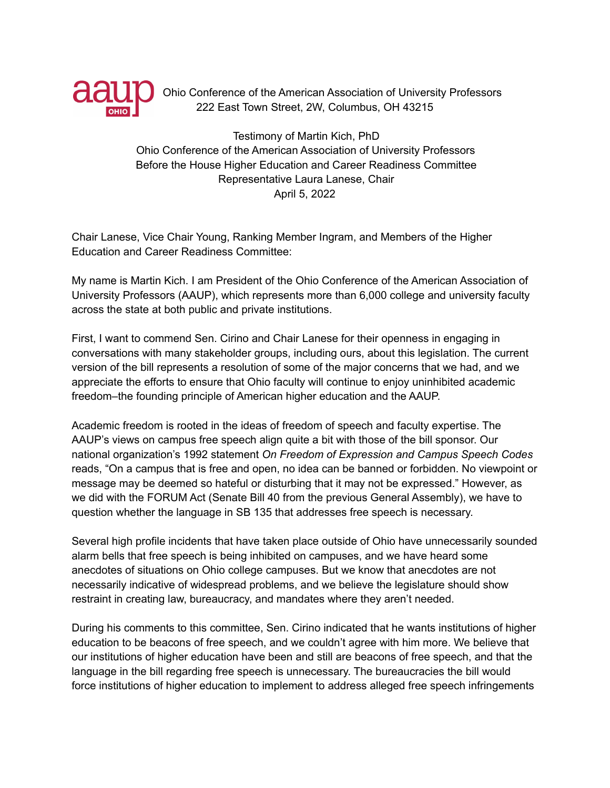

Ohio Conference of the American Association of University Professors 222 East Town Street, 2W, Columbus, OH 43215

Testimony of Martin Kich, PhD Ohio Conference of the American Association of University Professors Before the House Higher Education and Career Readiness Committee Representative Laura Lanese, Chair April 5, 2022

Chair Lanese, Vice Chair Young, Ranking Member Ingram, and Members of the Higher Education and Career Readiness Committee:

My name is Martin Kich. I am President of the Ohio Conference of the American Association of University Professors (AAUP), which represents more than 6,000 college and university faculty across the state at both public and private institutions.

First, I want to commend Sen. Cirino and Chair Lanese for their openness in engaging in conversations with many stakeholder groups, including ours, about this legislation. The current version of the bill represents a resolution of some of the major concerns that we had, and we appreciate the efforts to ensure that Ohio faculty will continue to enjoy uninhibited academic freedom–the founding principle of American higher education and the AAUP.

Academic freedom is rooted in the ideas of freedom of speech and faculty expertise. The AAUP's views on campus free speech align quite a bit with those of the bill sponsor. Our national organization's 1992 statement *On Freedom of Expression and Campus Speech Codes* reads, "On a campus that is free and open, no idea can be banned or forbidden. No viewpoint or message may be deemed so hateful or disturbing that it may not be expressed." However, as we did with the FORUM Act (Senate Bill 40 from the previous General Assembly), we have to question whether the language in SB 135 that addresses free speech is necessary.

Several high profile incidents that have taken place outside of Ohio have unnecessarily sounded alarm bells that free speech is being inhibited on campuses, and we have heard some anecdotes of situations on Ohio college campuses. But we know that anecdotes are not necessarily indicative of widespread problems, and we believe the legislature should show restraint in creating law, bureaucracy, and mandates where they aren't needed.

During his comments to this committee, Sen. Cirino indicated that he wants institutions of higher education to be beacons of free speech, and we couldn't agree with him more. We believe that our institutions of higher education have been and still are beacons of free speech, and that the language in the bill regarding free speech is unnecessary. The bureaucracies the bill would force institutions of higher education to implement to address alleged free speech infringements